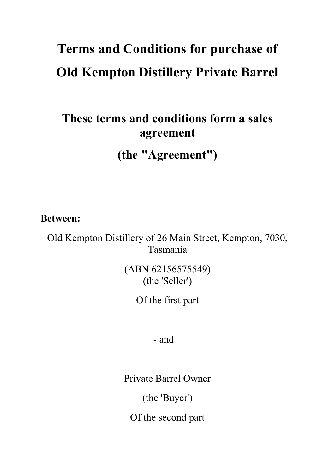# **Terms and Conditions for purchase of Old Kempton Distillery Private Barrel**

# **These terms and conditions form a sales agreement**

**(the "Agreement")**

**Between:**

Old Kempton Distillery of 26 Main Street, Kempton, 7030, Tasmania

> (ABN 62156575549) (the 'Seller')

> > Of the first part

 $-$  and  $-$ 

Private Barrel Owner

(the 'Buyer')

Of the second part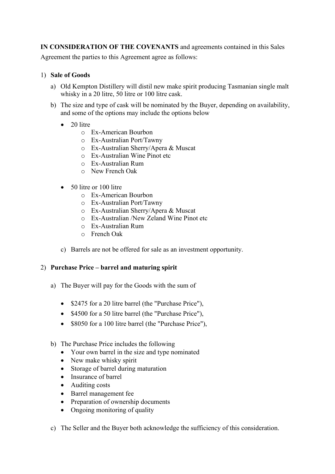**IN CONSIDERATION OF THE COVENANTS** and agreements contained in this Sales

Agreement the parties to this Agreement agree as follows:

# 1) **Sale of Goods**

- a) Old Kempton Distillery will distil new make spirit producing Tasmanian single malt whisky in a 20 litre, 50 litre or 100 litre cask.
- b) The size and type of cask will be nominated by the Buyer, depending on availability, and some of the options may include the options below
	- 20 litre
		- o Ex-American Bourbon
		- o Ex-Australian Port/Tawny
		- o Ex-Australian Sherry/Apera & Muscat
		- o Ex-Australian Wine Pinot etc
		- o Ex-Australian Rum
		- o New French Oak
	- 50 litre or 100 litre
		- o Ex-American Bourbon
		- o Ex-Australian Port/Tawny
		- o Ex-Australian Sherry/Apera & Muscat
		- o Ex-Australian /New Zeland Wine Pinot etc
		- o Ex-Australian Rum
		- o French Oak
	- c) Barrels are not be offered for sale as an investment opportunity.

# 2) **Purchase Price – barrel and maturing spirit**

- a) The Buyer will pay for the Goods with the sum of
	- \$2475 for a 20 litre barrel (the "Purchase Price"),
	- \$4500 for a 50 litre barrel (the "Purchase Price"),
	- \$8050 for a 100 litre barrel (the "Purchase Price"),
- b) The Purchase Price includes the following
	- Your own barrel in the size and type nominated
	- New make whisky spirit
	- Storage of barrel during maturation
	- Insurance of barrel
	- Auditing costs
	- Barrel management fee
	- Preparation of ownership documents
	- Ongoing monitoring of quality
- c) The Seller and the Buyer both acknowledge the sufficiency of this consideration.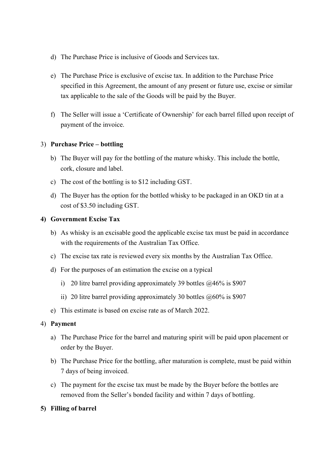- d) The Purchase Price is inclusive of Goods and Services tax.
- e) The Purchase Price is exclusive of excise tax. In addition to the Purchase Price specified in this Agreement, the amount of any present or future use, excise or similar tax applicable to the sale of the Goods will be paid by the Buyer.
- f) The Seller will issue a 'Certificate of Ownership' for each barrel filled upon receipt of payment of the invoice.

#### 3) **Purchase Price – bottling**

- b) The Buyer will pay for the bottling of the mature whisky. This include the bottle, cork, closure and label.
- c) The cost of the bottling is to \$12 including GST.
- d) The Buyer has the option for the bottled whisky to be packaged in an OKD tin at a cost of \$3.50 including GST.

#### **4) Government Excise Tax**

- b) As whisky is an excisable good the applicable excise tax must be paid in accordance with the requirements of the Australian Tax Office.
- c) The excise tax rate is reviewed every six months by the Australian Tax Office.
- d) For the purposes of an estimation the excise on a typical
	- i) 20 litre barrel providing approximately 39 bottles  $\omega$ 46% is \$907
	- ii) 20 litre barrel providing approximately 30 bottles  $\omega$ 60% is \$907
- e) This estimate is based on excise rate as of March 2022.

#### 4) **Payment**

- a) The Purchase Price for the barrel and maturing spirit will be paid upon placement or order by the Buyer.
- b) The Purchase Price for the bottling, after maturation is complete, must be paid within 7 days of being invoiced.
- c) The payment for the excise tax must be made by the Buyer before the bottles are removed from the Seller's bonded facility and within 7 days of bottling.

# **5) Filling of barrel**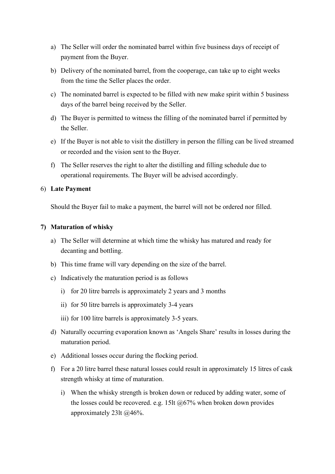- a) The Seller will order the nominated barrel within five business days of receipt of payment from the Buyer.
- b) Delivery of the nominated barrel, from the cooperage, can take up to eight weeks from the time the Seller places the order.
- c) The nominated barrel is expected to be filled with new make spirit within 5 business days of the barrel being received by the Seller.
- d) The Buyer is permitted to witness the filling of the nominated barrel if permitted by the Seller.
- e) If the Buyer is not able to visit the distillery in person the filling can be lived streamed or recorded and the vision sent to the Buyer.
- f) The Seller reserves the right to alter the distilling and filling schedule due to operational requirements. The Buyer will be advised accordingly.

#### 6) **Late Payment**

Should the Buyer fail to make a payment, the barrel will not be ordered nor filled.

#### **7) Maturation of whisky**

- a) The Seller will determine at which time the whisky has matured and ready for decanting and bottling.
- b) This time frame will vary depending on the size of the barrel.
- c) Indicatively the maturation period is as follows
	- i) for 20 litre barrels is approximately 2 years and 3 months
	- ii) for 50 litre barrels is approximately 3-4 years
	- iii) for 100 litre barrels is approximately 3-5 years.
- d) Naturally occurring evaporation known as 'Angels Share' results in losses during the maturation period.
- e) Additional losses occur during the flocking period.
- f) For a 20 litre barrel these natural losses could result in approximately 15 litres of cask strength whisky at time of maturation.
	- i) When the whisky strength is broken down or reduced by adding water, some of the losses could be recovered. e.g. 15lt  $@67\%$  when broken down provides approximately 23lt @46%.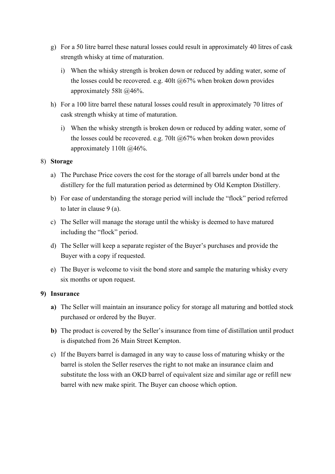- g) For a 50 litre barrel these natural losses could result in approximately 40 litres of cask strength whisky at time of maturation.
	- i) When the whisky strength is broken down or reduced by adding water, some of the losses could be recovered. e.g. 40lt  $@67\%$  when broken down provides approximately 58lt @46%.
- h) For a 100 litre barrel these natural losses could result in approximately 70 litres of cask strength whisky at time of maturation.
	- i) When the whisky strength is broken down or reduced by adding water, some of the losses could be recovered. e.g. 70lt @67% when broken down provides approximately 110lt @46%.

# 8) **Storage**

- a) The Purchase Price covers the cost for the storage of all barrels under bond at the distillery for the full maturation period as determined by Old Kempton Distillery.
- b) For ease of understanding the storage period will include the "flock" period referred to later in clause 9 (a).
- c) The Seller will manage the storage until the whisky is deemed to have matured including the "flock" period.
- d) The Seller will keep a separate register of the Buyer's purchases and provide the Buyer with a copy if requested.
- e) The Buyer is welcome to visit the bond store and sample the maturing whisky every six months or upon request.

# **9) Insurance**

- **a)** The Seller will maintain an insurance policy for storage all maturing and bottled stock purchased or ordered by the Buyer.
- **b)** The product is covered by the Seller's insurance from time of distillation until product is dispatched from 26 Main Street Kempton.
- c) If the Buyers barrel is damaged in any way to cause loss of maturing whisky or the barrel is stolen the Seller reserves the right to not make an insurance claim and substitute the loss with an OKD barrel of equivalent size and similar age or refill new barrel with new make spirit. The Buyer can choose which option.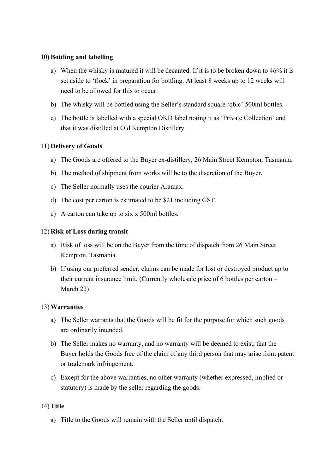## **10) Bottling and labelling**

- a) When the whisky is matured it will be decanted. If it is to be broken down to 46% it is set aside to 'flock' in preparation for bottling. At least 8 weeks up to 12 weeks will need to be allowed for this to occur.
- b) The whisky will be bottled using the Seller's standard square 'qbic' 500ml bottles.
- c) The bottle is labelled with a special OKD label noting it as 'Private Collection' and that it was distilled at Old Kempton Distillery.

#### 11) **Delivery of Goods**

- a) The Goods are offered to the Buyer ex-distillery, 26 Main Street Kempton, Tasmania.
- b) The method of shipment from works will be to the discretion of the Buyer.
- c) The Seller normally uses the courier Aramax.
- d) The cost per carton is estimated to be \$21 including GST.
- e) A carton can take up to six x 500ml bottles.

#### 12) **Risk of Loss during transit**

- a) Risk of loss will be on the Buyer from the time of dispatch from 26 Main Street Kempton, Tasmania.
- b) If using our preferred sender, claims can be made for lost or destroyed product up to their current insurance limit. (Currently wholesale price of 6 bottles per carton – March 22)

#### 13) **Warranties**

- a) The Seller warrants that the Goods will be fit for the purpose for which such goods are ordinarily intended.
- b) The Seller makes no warranty, and no warranty will be deemed to exist, that the Buyer holds the Goods free of the claim of any third person that may arise from patent or trademark infringement.
- c) Except for the above warranties, no other warranty (whether expressed, implied or statutory) is made by the seller regarding the goods.

#### 14) **Title**

a) Title to the Goods will remain with the Seller until dispatch.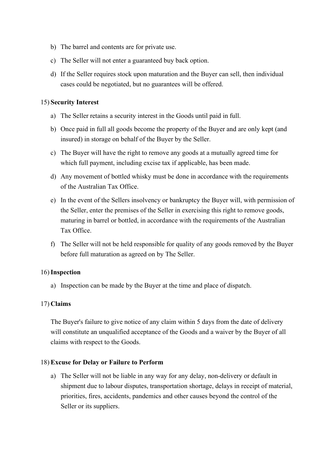- b) The barrel and contents are for private use.
- c) The Seller will not enter a guaranteed buy back option.
- d) If the Seller requires stock upon maturation and the Buyer can sell, then individual cases could be negotiated, but no guarantees will be offered.

## 15) **Security Interest**

- a) The Seller retains a security interest in the Goods until paid in full.
- b) Once paid in full all goods become the property of the Buyer and are only kept (and insured) in storage on behalf of the Buyer by the Seller.
- c) The Buyer will have the right to remove any goods at a mutually agreed time for which full payment, including excise tax if applicable, has been made.
- d) Any movement of bottled whisky must be done in accordance with the requirements of the Australian Tax Office.
- e) In the event of the Sellers insolvency or bankruptcy the Buyer will, with permission of the Seller, enter the premises of the Seller in exercising this right to remove goods, maturing in barrel or bottled, in accordance with the requirements of the Australian Tax Office.
- f) The Seller will not be held responsible for quality of any goods removed by the Buyer before full maturation as agreed on by The Seller.

# 16)**Inspection**

a) Inspection can be made by the Buyer at the time and place of dispatch.

# 17) **Claims**

The Buyer's failure to give notice of any claim within 5 days from the date of delivery will constitute an unqualified acceptance of the Goods and a waiver by the Buyer of all claims with respect to the Goods.

# 18) **Excuse for Delay or Failure to Perform**

a) The Seller will not be liable in any way for any delay, non-delivery or default in shipment due to labour disputes, transportation shortage, delays in receipt of material, priorities, fires, accidents, pandemics and other causes beyond the control of the Seller or its suppliers.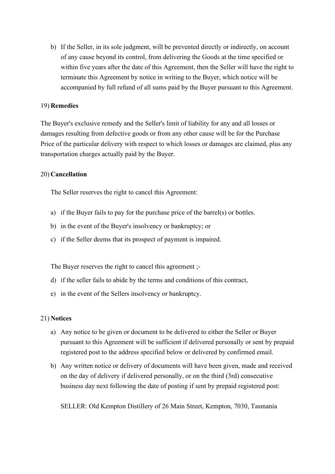b) If the Seller, in its sole judgment, will be prevented directly or indirectly, on account of any cause beyond its control, from delivering the Goods at the time specified or within five years after the date of this Agreement, then the Seller will have the right to terminate this Agreement by notice in writing to the Buyer, which notice will be accompanied by full refund of all sums paid by the Buyer pursuant to this Agreement.

#### 19) **Remedies**

The Buyer's exclusive remedy and the Seller's limit of liability for any and all losses or damages resulting from defective goods or from any other cause will be for the Purchase Price of the particular delivery with respect to which losses or damages are claimed, plus any transportation charges actually paid by the Buyer.

#### 20) **Cancellation**

The Seller reserves the right to cancel this Agreement:

- a) if the Buyer fails to pay for the purchase price of the barrel(s) or bottles.
- b) in the event of the Buyer's insolvency or bankruptcy; or
- c) if the Seller deems that its prospect of payment is impaired.

The Buyer reserves the right to cancel this agreement ;-

- d) if the seller fails to abide by the terms and conditions of this contract,
- e) in the event of the Sellers insolvency or bankruptcy.

#### 21) **Notices**

- a) Any notice to be given or document to be delivered to either the Seller or Buyer pursuant to this Agreement will be sufficient if delivered personally or sent by prepaid registered post to the address specified below or delivered by confirmed email.
- b) Any written notice or delivery of documents will have been given, made and received on the day of delivery if delivered personally, or on the third (3rd) consecutive business day next following the date of posting if sent by prepaid registered post:

SELLER: Old Kempton Distillery of 26 Main Street, Kempton, 7030, Tasmania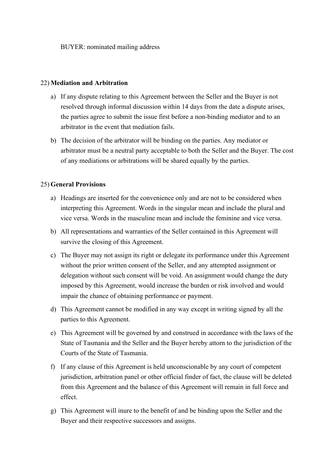BUYER: nominated mailing address

#### 22) **Mediation and Arbitration**

- a) If any dispute relating to this Agreement between the Seller and the Buyer is not resolved through informal discussion within 14 days from the date a dispute arises, the parties agree to submit the issue first before a non-binding mediator and to an arbitrator in the event that mediation fails.
- b) The decision of the arbitrator will be binding on the parties. Any mediator or arbitrator must be a neutral party acceptable to both the Seller and the Buyer. The cost of any mediations or arbitrations will be shared equally by the parties.

# 25) **General Provisions**

- a) Headings are inserted for the convenience only and are not to be considered when interpreting this Agreement. Words in the singular mean and include the plural and vice versa. Words in the masculine mean and include the feminine and vice versa.
- b) All representations and warranties of the Seller contained in this Agreement will survive the closing of this Agreement.
- c) The Buyer may not assign its right or delegate its performance under this Agreement without the prior written consent of the Seller, and any attempted assignment or delegation without such consent will be void. An assignment would change the duty imposed by this Agreement, would increase the burden or risk involved and would impair the chance of obtaining performance or payment.
- d) This Agreement cannot be modified in any way except in writing signed by all the parties to this Agreement.
- e) This Agreement will be governed by and construed in accordance with the laws of the State of Tasmania and the Seller and the Buyer hereby attorn to the jurisdiction of the Courts of the State of Tasmania.
- f) If any clause of this Agreement is held unconscionable by any court of competent jurisdiction, arbitration panel or other official finder of fact, the clause will be deleted from this Agreement and the balance of this Agreement will remain in full force and effect.
- g) This Agreement will inure to the benefit of and be binding upon the Seller and the Buyer and their respective successors and assigns.